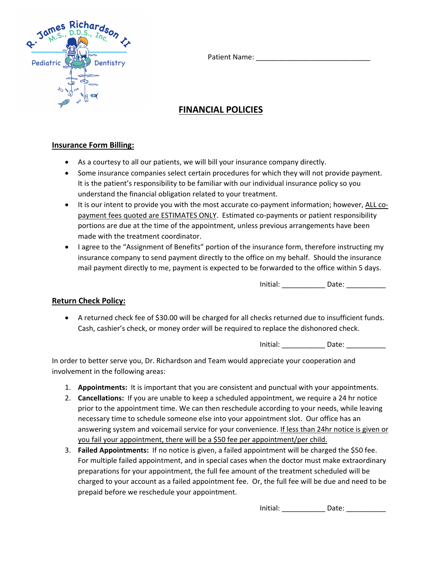Patient Name:



# **FINANCIAL POLICIES**

### **Insurance Form Billing:**

- As a courtesy to all our patients, we will bill your insurance company directly.
- Some insurance companies select certain procedures for which they will not provide payment. It is the patient's responsibility to be familiar with our individual insurance policy so you understand the financial obligation related to your treatment.
- It is our intent to provide you with the most accurate co-payment information; however, ALL copayment fees quoted are ESTIMATES ONLY. Estimated co-payments or patient responsibility portions are due at the time of the appointment, unless previous arrangements have been made with the treatment coordinator.
- I agree to the "Assignment of Benefits" portion of the insurance form, therefore instructing my insurance company to send payment directly to the office on my behalf. Should the insurance mail payment directly to me, payment is expected to be forwarded to the office within 5 days.

Initial: \_\_\_\_\_\_\_\_\_\_\_\_\_\_ Date: \_\_\_\_\_\_\_\_\_\_\_\_\_

#### **Return Check Policy:**

• A returned check fee of \$30.00 will be charged for all checks returned due to insufficient funds. Cash, cashier's check, or money order will be required to replace the dishonored check.

Initial: \_\_\_\_\_\_\_\_\_\_\_\_\_\_ Date: \_\_\_\_\_\_\_\_\_\_\_\_\_

In order to better serve you, Dr. Richardson and Team would appreciate your cooperation and involvement in the following areas:

- 1. **Appointments:** It is important that you are consistent and punctual with your appointments.
- 2. **Cancellations:** If you are unable to keep a scheduled appointment, we require a 24 hr notice prior to the appointment time. We can then reschedule according to your needs, while leaving necessary time to schedule someone else into your appointment slot. Our office has an answering system and voicemail service for your convenience. If less than 24hr notice is given or you fail your appointment, there will be a \$50 fee per appointment/per child.
- 3. **Failed Appointments:** If no notice is given, a failed appointment will be charged the \$50 fee. For multiple failed appointment, and in special cases when the doctor must make extraordinary preparations for your appointment, the full fee amount of the treatment scheduled will be charged to your account as a failed appointment fee. Or, the full fee will be due and need to be prepaid before we reschedule your appointment.

Initial: \_\_\_\_\_\_\_\_\_\_\_\_\_\_ Date: \_\_\_\_\_\_\_\_\_\_\_\_\_